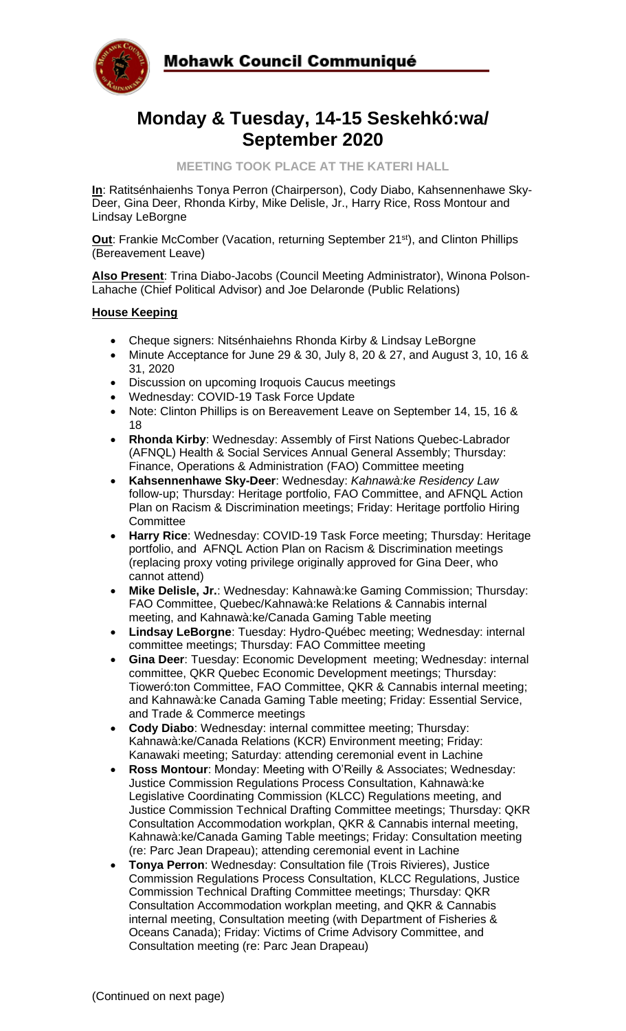

# **Monday & Tuesday, 14-15 Seskehkó:wa/ September 2020**

**MEETING TOOK PLACE AT THE KATERI HALL**

**In**: Ratitsénhaienhs Tonya Perron (Chairperson), Cody Diabo, Kahsennenhawe Sky-Deer, Gina Deer, Rhonda Kirby, Mike Delisle, Jr., Harry Rice, Ross Montour and Lindsay LeBorgne

**Out:** Frankie McComber (Vacation, returning September 21<sup>st</sup>), and Clinton Phillips (Bereavement Leave)

**Also Present**: Trina Diabo-Jacobs (Council Meeting Administrator), Winona Polson-Lahache (Chief Political Advisor) and Joe Delaronde (Public Relations)

#### **House Keeping**

- Cheque signers: Nitsénhaiehns Rhonda Kirby & Lindsay LeBorgne
- Minute Acceptance for June 29 & 30, July 8, 20 & 27, and August 3, 10, 16 & 31, 2020
- Discussion on upcoming Iroquois Caucus meetings
- Wednesday: COVID-19 Task Force Update
- Note: Clinton Phillips is on Bereavement Leave on September 14, 15, 16 & 18
- **Rhonda Kirby**: Wednesday: Assembly of First Nations Quebec-Labrador (AFNQL) Health & Social Services Annual General Assembly; Thursday: Finance, Operations & Administration (FAO) Committee meeting
- **Kahsennenhawe Sky-Deer**: Wednesday: *Kahnawà:ke Residency Law* follow-up; Thursday: Heritage portfolio, FAO Committee, and AFNQL Action Plan on Racism & Discrimination meetings; Friday: Heritage portfolio Hiring **Committee**
- **Harry Rice**: Wednesday: COVID-19 Task Force meeting; Thursday: Heritage portfolio, and AFNQL Action Plan on Racism & Discrimination meetings (replacing proxy voting privilege originally approved for Gina Deer, who cannot attend)
- **Mike Delisle, Jr.**: Wednesday: Kahnawà:ke Gaming Commission; Thursday: FAO Committee, Quebec/Kahnawà:ke Relations & Cannabis internal meeting, and Kahnawà:ke/Canada Gaming Table meeting
- **Lindsay LeBorgne**: Tuesday: Hydro-Québec meeting; Wednesday: internal committee meetings; Thursday: FAO Committee meeting
- **Gina Deer**: Tuesday: Economic Development meeting; Wednesday: internal committee, QKR Quebec Economic Development meetings; Thursday: Tioweró:ton Committee, FAO Committee, QKR & Cannabis internal meeting; and Kahnawà:ke Canada Gaming Table meeting; Friday: Essential Service, and Trade & Commerce meetings
- **Cody Diabo**: Wednesday: internal committee meeting; Thursday: Kahnawà:ke/Canada Relations (KCR) Environment meeting; Friday: Kanawaki meeting; Saturday: attending ceremonial event in Lachine
- **Ross Montour**: Monday: Meeting with O'Reilly & Associates; Wednesday: Justice Commission Regulations Process Consultation, Kahnawà:ke Legislative Coordinating Commission (KLCC) Regulations meeting, and Justice Commission Technical Drafting Committee meetings; Thursday: QKR Consultation Accommodation workplan, QKR & Cannabis internal meeting, Kahnawà:ke/Canada Gaming Table meetings; Friday: Consultation meeting (re: Parc Jean Drapeau); attending ceremonial event in Lachine
- **Tonya Perron**: Wednesday: Consultation file (Trois Rivieres), Justice Commission Regulations Process Consultation, KLCC Regulations, Justice Commission Technical Drafting Committee meetings; Thursday: QKR Consultation Accommodation workplan meeting, and QKR & Cannabis internal meeting, Consultation meeting (with Department of Fisheries & Oceans Canada); Friday: Victims of Crime Advisory Committee, and Consultation meeting (re: Parc Jean Drapeau)